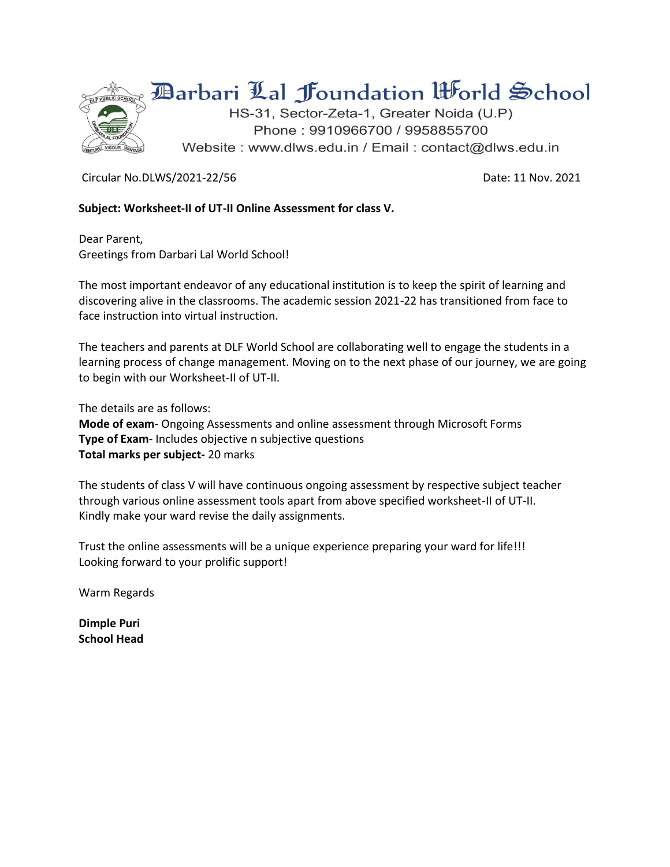

## **Barbari Lal Joundation Horld School**

HS-31, Sector-Zeta-1, Greater Noida (U.P) Phone: 9910966700 / 9958855700 Website: www.dlws.edu.in / Email: contact@dlws.edu.in

Circular No.DLWS/2021-22/56 Date: 11 Nov. 2021

## **Subject: Worksheet-II of UT-II Online Assessment for class V.**

Dear Parent, Greetings from Darbari Lal World School!

The most important endeavor of any educational institution is to keep the spirit of learning and discovering alive in the classrooms. The academic session 2021-22 has transitioned from face to face instruction into virtual instruction.

The teachers and parents at DLF World School are collaborating well to engage the students in a learning process of change management. Moving on to the next phase of our journey, we are going to begin with our Worksheet-II of UT-II.

The details are as follows:

**Mode of exam**- Ongoing Assessments and online assessment through Microsoft Forms **Type of Exam**- Includes objective n subjective questions **Total marks per subject-** 20 marks

The students of class V will have continuous ongoing assessment by respective subject teacher through various online assessment tools apart from above specified worksheet-II of UT-II. Kindly make your ward revise the daily assignments.

Trust the online assessments will be a unique experience preparing your ward for life!!! Looking forward to your prolific support!

Warm Regards

**Dimple Puri School Head**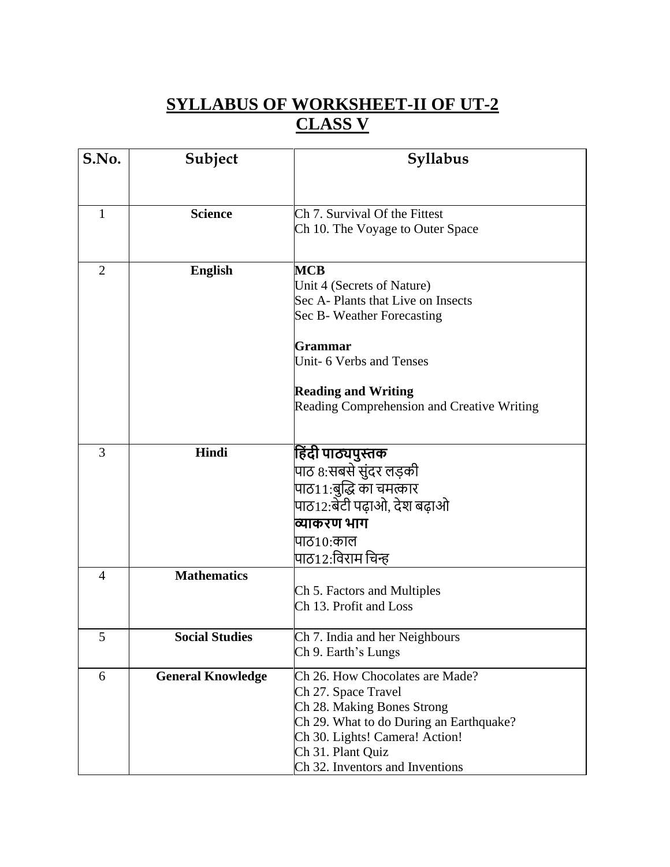## **SYLLABUS OF WORKSHEET-II OF UT-2 CLASS V**

| S.No.          | Subject                  | <b>Syllabus</b>                                   |
|----------------|--------------------------|---------------------------------------------------|
|                |                          |                                                   |
| 1              | <b>Science</b>           | Ch 7. Survival Of the Fittest                     |
|                |                          | Ch 10. The Voyage to Outer Space                  |
|                |                          |                                                   |
| $\overline{2}$ | <b>English</b>           | <b>MCB</b>                                        |
|                |                          | Unit 4 (Secrets of Nature)                        |
|                |                          | Sec A- Plants that Live on Insects                |
|                |                          | Sec B- Weather Forecasting                        |
|                |                          | <b>Grammar</b>                                    |
|                |                          | Unit- 6 Verbs and Tenses                          |
|                |                          | <b>Reading and Writing</b>                        |
|                |                          | <b>Reading Comprehension and Creative Writing</b> |
|                |                          |                                                   |
| 3              | Hindi                    | हिंदी पाठ्यपुस्तक                                 |
|                |                          | पाठ 8:सबसे सुंदर लड़की                            |
|                |                          | पाठ11:बुद्धि का चमत्कार                           |
|                |                          | पाठ12:बेटी पढ़ाओ, देश बढ़ाओ                       |
|                |                          | व्याकरण भाग                                       |
|                |                          | पाठ10:काल                                         |
|                |                          | पाठ12:विराम चिन्ह                                 |
| $\overline{4}$ | <b>Mathematics</b>       |                                                   |
|                |                          | Ch 5. Factors and Multiples                       |
|                |                          | Ch 13. Profit and Loss                            |
| 5              | <b>Social Studies</b>    | Ch 7. India and her Neighbours                    |
|                |                          | Ch 9. Earth's Lungs                               |
| 6              | <b>General Knowledge</b> | Ch 26. How Chocolates are Made?                   |
|                |                          | Ch 27. Space Travel                               |
|                |                          | Ch 28. Making Bones Strong                        |
|                |                          | Ch 29. What to do During an Earthquake?           |
|                |                          | Ch 30. Lights! Camera! Action!                    |
|                |                          | Ch 31. Plant Quiz                                 |
|                |                          | Ch 32. Inventors and Inventions                   |